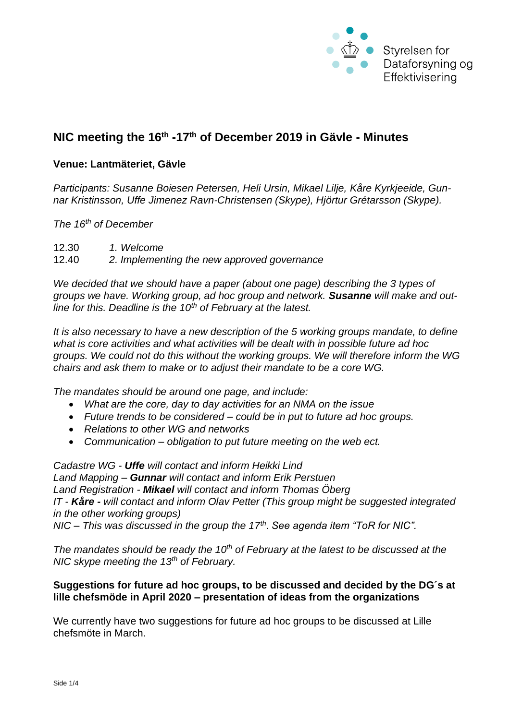

# **NIC meeting the 16th -17th of December 2019 in Gävle - Minutes**

## **Venue: Lantmäteriet, Gävle**

*Participants: Susanne Boiesen Petersen, Heli Ursin, Mikael Lilje, Kåre Kyrkjeeide, Gunnar Kristinsson, Uffe Jimenez Ravn-Christensen (Skype), Hjörtur Grétarsson (Skype).*

*The 16th of December*

12.30 *1. Welcome* 12.40 *2. Implementing the new approved governance*

*We decided that we should have a paper (about one page) describing the 3 types of groups we have. Working group, ad hoc group and network. Susanne will make and outline for this. Deadline is the 10th of February at the latest.*

*It is also necessary to have a new description of the 5 working groups mandate, to define what is core activities and what activities will be dealt with in possible future ad hoc groups. We could not do this without the working groups. We will therefore inform the WG chairs and ask them to make or to adjust their mandate to be a core WG.*

*The mandates should be around one page, and include:*

- *What are the core, day to day activities for an NMA on the issue*
- *Future trends to be considered – could be in put to future ad hoc groups.*
- *Relations to other WG and networks*
- *Communication – obligation to put future meeting on the web ect.*

*Cadastre WG - Uffe will contact and inform Heikki Lind Land Mapping – Gunnar will contact and inform Erik Perstuen Land Registration - Mikael will contact and inform Thomas Öberg IT - Kåre - will contact and inform Olav Petter (This group might be suggested integrated in the other working groups) NIC – This was discussed in the group the 17th. See agenda item "ToR for NIC".*

*The mandates should be ready the 10th of February at the latest to be discussed at the NIC skype meeting the 13th of February.* 

## **Suggestions for future ad hoc groups, to be discussed and decided by the DG´s at lille chefsmöde in April 2020 – presentation of ideas from the organizations**

We currently have two suggestions for future ad hoc groups to be discussed at Lille chefsmöte in March.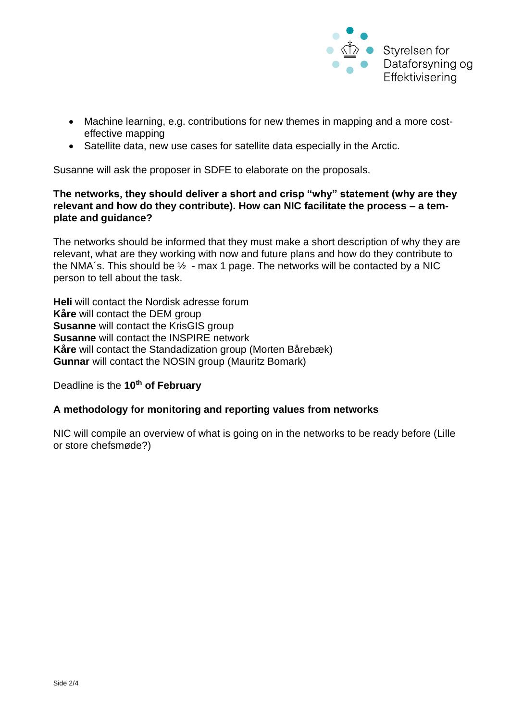

- Machine learning, e.g. contributions for new themes in mapping and a more costeffective mapping
- Satellite data, new use cases for satellite data especially in the Arctic.

Susanne will ask the proposer in SDFE to elaborate on the proposals.

# **The networks, they should deliver a short and crisp "why" statement (why are they relevant and how do they contribute). How can NIC facilitate the process – a template and guidance?**

The networks should be informed that they must make a short description of why they are relevant, what are they working with now and future plans and how do they contribute to the NMA's. This should be  $\frac{1}{2}$  - max 1 page. The networks will be contacted by a NIC person to tell about the task.

**Heli** will contact the Nordisk adresse forum **Kåre** will contact the DEM group **Susanne** will contact the KrisGIS group **Susanne** will contact the INSPIRE network **Kåre** will contact the Standadization group (Morten Bårebæk) **Gunnar** will contact the NOSIN group (Mauritz Bomark)

Deadline is the **10th of February**

## **A methodology for monitoring and reporting values from networks**

NIC will compile an overview of what is going on in the networks to be ready before (Lille or store chefsmøde?)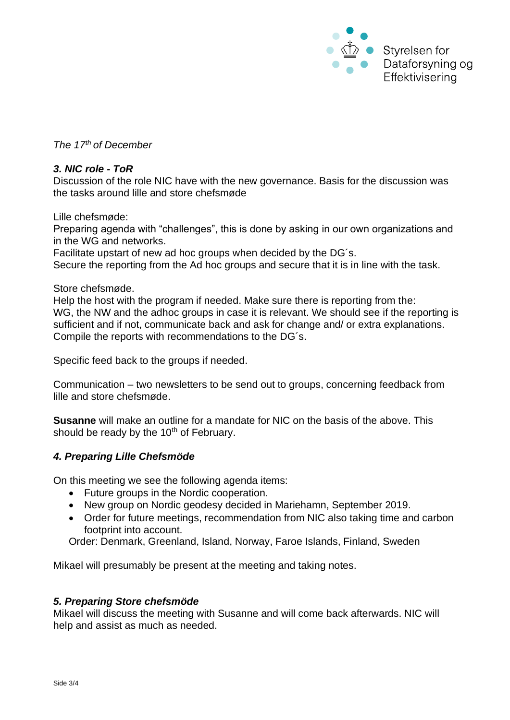

*The 17th of December*

#### *3. NIC role - ToR*

Discussion of the role NIC have with the new governance. Basis for the discussion was the tasks around lille and store chefsmøde

Lille chefsmøde:

Preparing agenda with "challenges", this is done by asking in our own organizations and in the WG and networks.

Facilitate upstart of new ad hoc groups when decided by the DG´s.

Secure the reporting from the Ad hoc groups and secure that it is in line with the task.

Store chefsmøde.

Help the host with the program if needed. Make sure there is reporting from the: WG, the NW and the adhoc groups in case it is relevant. We should see if the reporting is sufficient and if not, communicate back and ask for change and/ or extra explanations. Compile the reports with recommendations to the DG´s.

Specific feed back to the groups if needed.

Communication – two newsletters to be send out to groups, concerning feedback from lille and store chefsmøde.

**Susanne** will make an outline for a mandate for NIC on the basis of the above. This should be ready by the  $10<sup>th</sup>$  of February.

## *4. Preparing Lille Chefsmöde*

On this meeting we see the following agenda items:

- Future groups in the Nordic cooperation.
- New group on Nordic geodesy decided in Mariehamn, September 2019.
- Order for future meetings, recommendation from NIC also taking time and carbon footprint into account.

Order: Denmark, Greenland, Island, Norway, Faroe Islands, Finland, Sweden

Mikael will presumably be present at the meeting and taking notes.

#### *5. Preparing Store chefsmöde*

Mikael will discuss the meeting with Susanne and will come back afterwards. NIC will help and assist as much as needed.